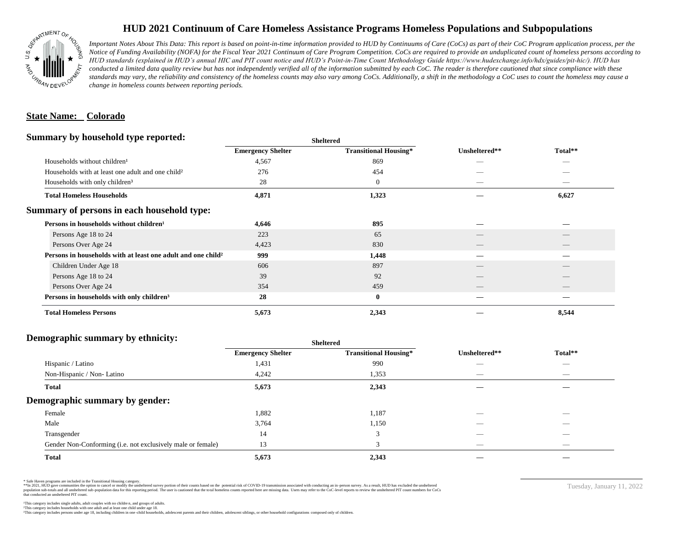

## **HUD 2021 Continuum of Care Homeless Assistance Programs Homeless Populations and Subpopulations**

*Important Notes About This Data: This report is based on point-in-time information provided to HUD by Continuums of Care (CoCs) as part of their CoC Program application process, per the Notice of Funding Availability (NOFA) for the Fiscal Year 2021 Continuum of Care Program Competition. CoCs are required to provide an unduplicated count of homeless persons according to HUD standards (explained in HUD's annual HIC and PIT count notice and HUD's Point-in-Time Count Methodology Guide https://www.hudexchange.info/hdx/guides/pit-hic/). HUD has*  conducted a limited data quality review but has not independently verified all of the information submitted by each CoC. The reader is therefore cautioned that since compliance with these standards may vary, the reliability and consistency of the homeless counts may also vary among CoCs. Additionally, a shift in the methodology a CoC uses to count the homeless may cause a *change in homeless counts between reporting periods.*

#### **State Name: Colorado**

#### **Summary by household type reported:**

|                                                                                 | patter                       |               |                          |  |
|---------------------------------------------------------------------------------|------------------------------|---------------|--------------------------|--|
| <b>Emergency Shelter</b>                                                        | <b>Transitional Housing*</b> | Unsheltered** | Total**                  |  |
| 4,567                                                                           | 869                          | _             |                          |  |
| 276                                                                             | 454                          |               |                          |  |
| 28                                                                              | $\boldsymbol{0}$             | _             | _                        |  |
| 4,871                                                                           | 1,323                        |               | 6,627                    |  |
|                                                                                 |                              |               |                          |  |
| 4,646                                                                           | 895                          |               |                          |  |
| 223                                                                             | 65                           |               |                          |  |
| 4,423                                                                           | 830                          | __            | $\overline{\phantom{a}}$ |  |
| Persons in households with at least one adult and one child <sup>2</sup><br>999 | 1,448                        |               |                          |  |
| 606                                                                             | 897                          |               |                          |  |
| 39                                                                              | 92                           |               |                          |  |
| 354                                                                             | 459                          | __            | $-$                      |  |
| 28                                                                              | $\bf{0}$                     |               |                          |  |
| 5,673                                                                           | 2,343                        |               | 8,544                    |  |
|                                                                                 |                              |               |                          |  |

**Sheltered**

## **Demographic summary by ethnicity:**

| ັ<br>. .<br>$\bullet$<br>$\ddot{\phantom{1}}$<br>$\ddot{\phantom{1}}$ | Sneitered                |                              |                                 |                                 |
|-----------------------------------------------------------------------|--------------------------|------------------------------|---------------------------------|---------------------------------|
|                                                                       | <b>Emergency Shelter</b> | <b>Transitional Housing*</b> | Unsheltered**                   | Total**                         |
| Hispanic / Latino                                                     | 1,431                    | 990                          | _                               | $\overbrace{\hspace{25mm}}^{}$  |
| Non-Hispanic / Non-Latino                                             | 4,242                    | 1,353                        | $\hspace{0.1mm}-\hspace{0.1mm}$ | $\hspace{0.1mm}-\hspace{0.1mm}$ |
| <b>Total</b>                                                          | 5,673                    | 2,343                        |                                 |                                 |
| Demographic summary by gender:                                        |                          |                              |                                 |                                 |
| Female                                                                | 1,882                    | 1,187                        | ___                             | $\overline{\phantom{a}}$        |
| Male                                                                  | 3,764                    | 1,150                        | __                              |                                 |
| Transgender                                                           | 14                       | 3                            | $\hspace{0.05cm}$               | $\overbrace{\hspace{25mm}}^{}$  |
| Gender Non-Conforming (i.e. not exclusively male or female)           | 13                       | 3                            | $\hspace{0.05cm}$               | $\overbrace{\hspace{25mm}}^{}$  |
| <b>Total</b>                                                          | 5,673                    | 2,343                        |                                 |                                 |

**Sheltered**

\* Safe Haven programs are included in the Transitional Housing category.

\*\*In 2021, HUD gave communities the option to cancel or modify the unsheltered survey portion of their counts based on the potential risk of COVID-19 transmission associated with conducting an in-person survey. As a result n political data for this reporting period. The user is cautioned that the total homeless counts reported here are missing data. Users may refer to the CoC-level reports to review the unshellered PIT count numbers for CoCs that conducted an unsheltered PIT count.

Tuesday, January 11, 2022